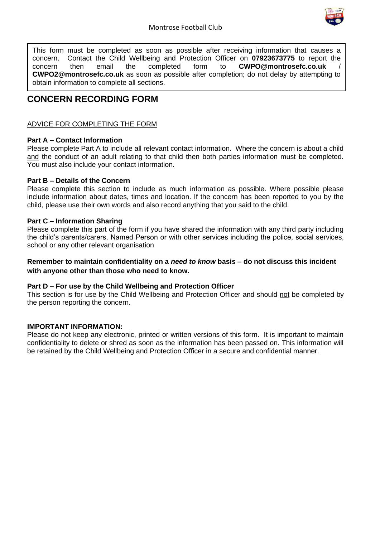

This form must be completed as soon as possible after receiving information that causes a concern. Contact the Child Wellbeing and Protection Officer on **07923673775** to report the concern then email the completed form to **CWPO@montrosefc.co.uk** / **CWPO2@montrosefc.co.uk** as soon as possible after completion; do not delay by attempting to obtain information to complete all sections.

# **CONCERN RECORDING FORM**

### ADVICE FOR COMPLETING THE FORM

### **Part A – Contact Information**

Please complete Part A to include all relevant contact information. Where the concern is about a child and the conduct of an adult relating to that child then both parties information must be completed. You must also include your contact information.

### **Part B – Details of the Concern**

Please complete this section to include as much information as possible. Where possible please include information about dates, times and location. If the concern has been reported to you by the child, please use their own words and also record anything that you said to the child.

### **Part C – Information Sharing**

Please complete this part of the form if you have shared the information with any third party including the child's parents/carers, Named Person or with other services including the police, social services, school or any other relevant organisation

### **Remember to maintain confidentiality on a** *need to know* **basis – do not discuss this incident with anyone other than those who need to know.**

### **Part D – For use by the Child Wellbeing and Protection Officer**

This section is for use by the Child Wellbeing and Protection Officer and should not be completed by the person reporting the concern.

### **IMPORTANT INFORMATION:**

Please do not keep any electronic, printed or written versions of this form. It is important to maintain confidentiality to delete or shred as soon as the information has been passed on. This information will be retained by the Child Wellbeing and Protection Officer in a secure and confidential manner.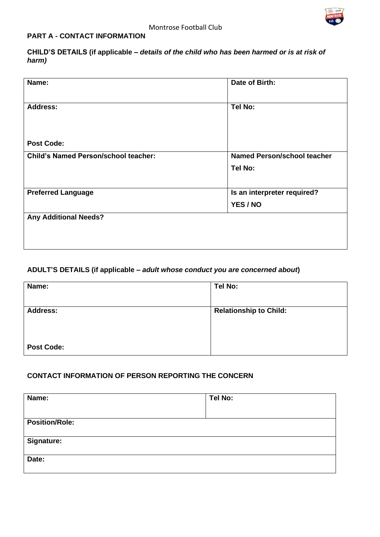

### **PART A - CONTACT INFORMATION**

**CHILD'S DETAILS (if applicable –** *details of the child who has been harmed or is at risk of harm)* 

| Name:                                       | Date of Birth:                     |
|---------------------------------------------|------------------------------------|
| <b>Address:</b>                             | <b>Tel No:</b>                     |
| <b>Post Code:</b>                           |                                    |
| <b>Child's Named Person/school teacher:</b> | <b>Named Person/school teacher</b> |
|                                             | Tel No:                            |
|                                             |                                    |
| <b>Preferred Language</b>                   | Is an interpreter required?        |
|                                             | YES / NO                           |
| <b>Any Additional Needs?</b>                |                                    |
|                                             |                                    |
|                                             |                                    |

# **ADULT'S DETAILS (if applicable –** *adult whose conduct you are concerned about***)**

| Name:             | Tel No:                       |
|-------------------|-------------------------------|
| <b>Address:</b>   | <b>Relationship to Child:</b> |
| <b>Post Code:</b> |                               |

### **CONTACT INFORMATION OF PERSON REPORTING THE CONCERN**

| Name:                 | Tel No: |
|-----------------------|---------|
|                       |         |
| <b>Position/Role:</b> |         |
|                       |         |
| <b>Signature:</b>     |         |
|                       |         |
| Date:                 |         |
|                       |         |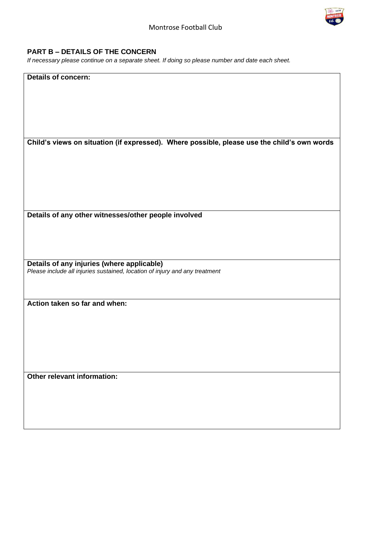

### **PART B – DETAILS OF THE CONCERN**

*If necessary please continue on a separate sheet. If doing so please number and date each sheet.* 

#### **Details of concern:**

**Child's views on situation (if expressed). Where possible, please use the child's own words**

**Details of any other witnesses/other people involved** 

**Details of any injuries (where applicable)**  *Please include all injuries sustained, location of injury and any treatment* 

**Action taken so far and when:**

**Other relevant information:**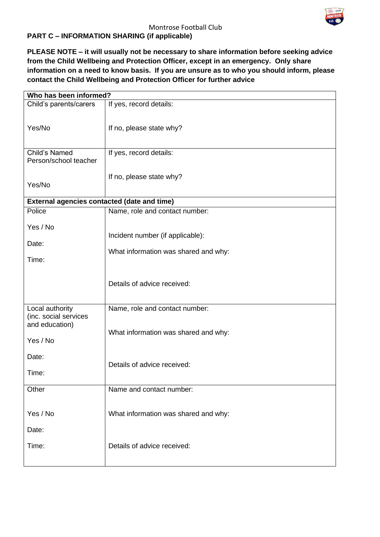

### Montrose Football Club

# **PART C – INFORMATION SHARING (if applicable)**

**PLEASE NOTE – it will usually not be necessary to share information before seeking advice from the Child Wellbeing and Protection Officer, except in an emergency. Only share information on a need to know basis. If you are unsure as to who you should inform, please contact the Child Wellbeing and Protection Officer for further advice** 

| Who has been informed?                                                 |                                                                          |  |
|------------------------------------------------------------------------|--------------------------------------------------------------------------|--|
| Child's parents/carers                                                 | If yes, record details:                                                  |  |
| Yes/No                                                                 | If no, please state why?                                                 |  |
| Child's Named<br>Person/school teacher                                 | If yes, record details:                                                  |  |
| Yes/No                                                                 | If no, please state why?                                                 |  |
| <b>External agencies contacted (date and time)</b>                     |                                                                          |  |
| Police                                                                 | Name, role and contact number:                                           |  |
| Yes / No<br>Date:<br>Time:                                             | Incident number (if applicable):<br>What information was shared and why: |  |
|                                                                        | Details of advice received:                                              |  |
| Local authority<br>(inc. social services<br>and education)<br>Yes / No | Name, role and contact number:<br>What information was shared and why:   |  |
| Date:<br>Time:                                                         | Details of advice received:                                              |  |
| Other                                                                  | Name and contact number:                                                 |  |
| Yes / No<br>Date:<br>Time:                                             | What information was shared and why:<br>Details of advice received:      |  |
|                                                                        |                                                                          |  |